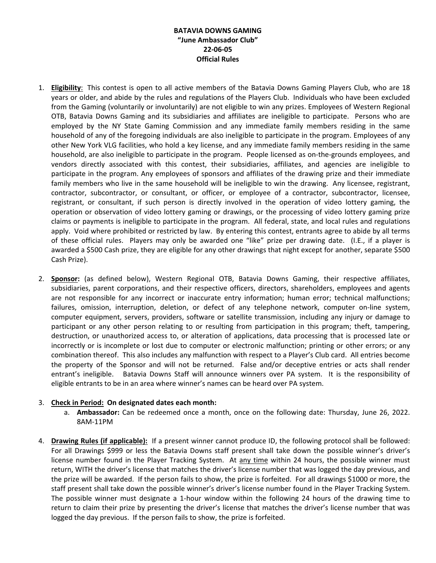## **BATAVIA DOWNS GAMING "June Ambassador Club" 22-06-05 Official Rules**

- 1. **Eligibility**: This contest is open to all active members of the Batavia Downs Gaming Players Club, who are 18 years or older, and abide by the rules and regulations of the Players Club. Individuals who have been excluded from the Gaming (voluntarily or involuntarily) are not eligible to win any prizes. Employees of Western Regional OTB, Batavia Downs Gaming and its subsidiaries and affiliates are ineligible to participate. Persons who are employed by the NY State Gaming Commission and any immediate family members residing in the same household of any of the foregoing individuals are also ineligible to participate in the program. Employees of any other New York VLG facilities, who hold a key license, and any immediate family members residing in the same household, are also ineligible to participate in the program. People licensed as on-the-grounds employees, and vendors directly associated with this contest, their subsidiaries, affiliates, and agencies are ineligible to participate in the program. Any employees of sponsors and affiliates of the drawing prize and their immediate family members who live in the same household will be ineligible to win the drawing. Any licensee, registrant, contractor, subcontractor, or consultant, or officer, or employee of a contractor, subcontractor, licensee, registrant, or consultant, if such person is directly involved in the operation of video lottery gaming, the operation or observation of video lottery gaming or drawings, or the processing of video lottery gaming prize claims or payments is ineligible to participate in the program. All federal, state, and local rules and regulations apply. Void where prohibited or restricted by law. By entering this contest, entrants agree to abide by all terms of these official rules. Players may only be awarded one "like" prize per drawing date. (I.E., if a player is awarded a \$500 Cash prize, they are eligible for any other drawings that night except for another, separate \$500 Cash Prize).
- 2. **Sponsor:** (as defined below), Western Regional OTB, Batavia Downs Gaming, their respective affiliates, subsidiaries, parent corporations, and their respective officers, directors, shareholders, employees and agents are not responsible for any incorrect or inaccurate entry information; human error; technical malfunctions; failures, omission, interruption, deletion, or defect of any telephone network, computer on-line system, computer equipment, servers, providers, software or satellite transmission, including any injury or damage to participant or any other person relating to or resulting from participation in this program; theft, tampering, destruction, or unauthorized access to, or alteration of applications, data processing that is processed late or incorrectly or is incomplete or lost due to computer or electronic malfunction; printing or other errors; or any combination thereof. This also includes any malfunction with respect to a Player's Club card. All entries become the property of the Sponsor and will not be returned. False and/or deceptive entries or acts shall render entrant's ineligible. Batavia Downs Staff will announce winners over PA system. It is the responsibility of eligible entrants to be in an area where winner's names can be heard over PA system.

## 3. **Check in Period: On designated dates each month:**

- a. **Ambassador:** Can be redeemed once a month, once on the following date: Thursday, June 26, 2022. 8AM-11PM
- 4. **Drawing Rules (if applicable):** If a present winner cannot produce ID, the following protocol shall be followed: For all Drawings \$999 or less the Batavia Downs staff present shall take down the possible winner's driver's license number found in the Player Tracking System. At any time within 24 hours, the possible winner must return, WITH the driver's license that matches the driver's license number that was logged the day previous, and the prize will be awarded. If the person fails to show, the prize is forfeited. For all drawings \$1000 or more, the staff present shall take down the possible winner's driver's license number found in the Player Tracking System. The possible winner must designate a 1-hour window within the following 24 hours of the drawing time to return to claim their prize by presenting the driver's license that matches the driver's license number that was logged the day previous. If the person fails to show, the prize is forfeited.